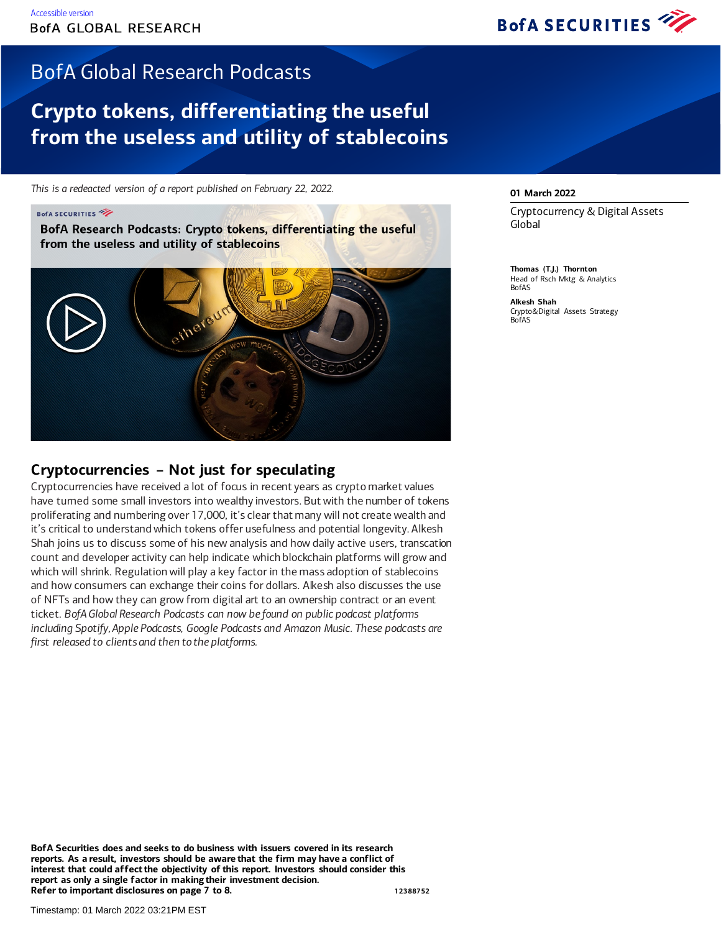

## BofA Global Research Podcasts

## **Crypto tokens, differentiating the useful from the useless and utility of stablecoins**

*This is a redeacted version of a report published on February 22, 2022.*

#### **BofA SECURITIES**

BofA Research Podcasts: Crypto tokens, differentiating the useful from the useless and utility of stablecoins



### **Cryptocurrencies – Not just for speculating**

Cryptocurrencies have received a lot of focus in recent years as crypto market values have turned some small investors into wealthy investors. But with the number of tokens proliferating and numbering over 17,000, it's clear that many will not create wealth and it's critical to understand which tokens offer usefulness and potential longevity. Alkesh Shah joins us to discuss some of his new analysis and how daily active users, transcation count and developer activity can help indicate which blockchain platforms will grow and which will shrink. Regulation will play a key factor in the mass adoption of stablecoins and how consumers can exchange their coins for dollars. Alkesh also discusses the use of NFTs and how they can grow from digital art to an ownership contract or an event ticket. *BofA Global Research Podcasts can now be found on public podcast platforms including Spotify, Apple Podcasts, Google Podcasts and Amazon Music. These podcasts are first released to clients and then to the platforms.*

#### **01 March 2022**

Cryptocurrency & Digital Assets Global

**Thomas (T.J.) Thornton** Head of Rsch Mktg & Analytics BofAS

**Alkesh Shah** Crypto&Digital Assets Strategy BofAS

**BofA Securities does and seeks to do business with issuers covered in its research reports. As a result, investors should be aware that the firm may have a conflict of interest that could affect the objectivity of this report. Investors should consider this report as only a single factor in making their investment decision. Refer to important disclosures on page 7 to 8. 12388752**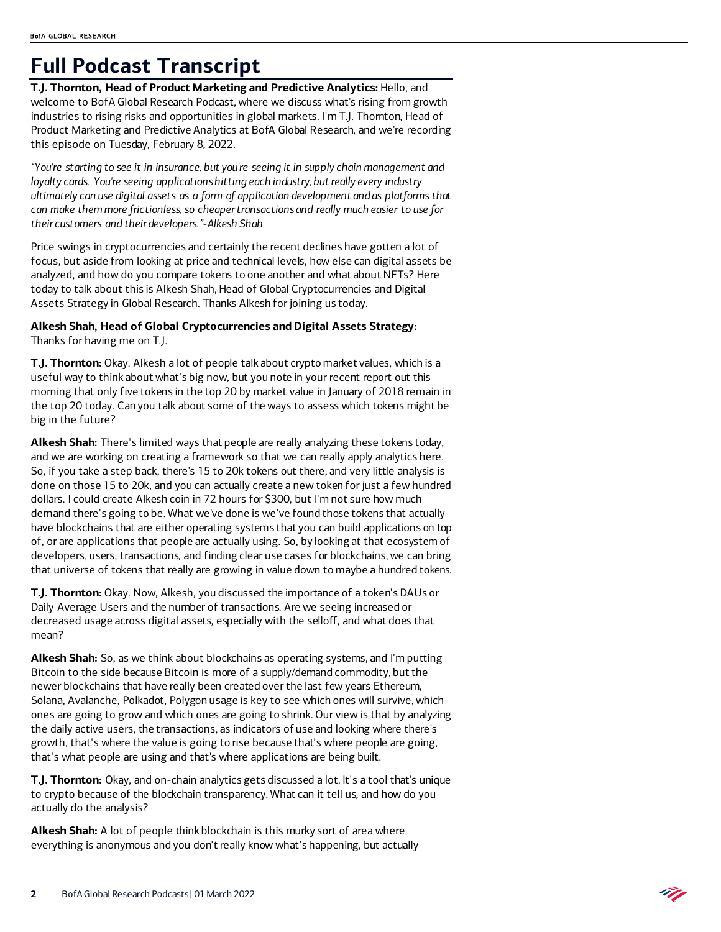## **Full Podcast Transcript**

**T.J. Thornton, Head of Product Marketing and Predictive Analytics:** Hello, and welcome to BofA Global Research Podcast, where we discuss what's rising from growth industries to rising risks and opportunities in global markets. I'm T.J. Thornton, Head of Product Marketing and Predictive Analytics at BofA Global Research, and we're recording this episode on Tuesday, February 8, 2022.

*"You're starting to see it in insurance, but you're seeing it in supply chain management and loyalty cards. You're seeing applications hitting each industry, but really every industry ultimately can use digital assets as a form of application development and as platforms that can make them more frictionless, so cheaper transactions and really much easier to use for their customers and their developers."-Alkesh Shah*

Price swings in cryptocurrencies and certainly the recent declines have gotten a lot of focus, but aside from looking at price and technical levels, how else can digital assets be analyzed, and how do you compare tokens to one another and what about NFTs? Here today to talk about this is Alkesh Shah, Head of Global Cryptocurrencies and Digital Assets Strategy in Global Research. Thanks Alkesh for joining us today.

**Alkesh Shah, Head of Global Cryptocurrencies and Digital Assets Strategy:** Thanks for having me on T.J.

**T.J. Thornton:** Okay. Alkesh a lot of people talk about crypto market values, which is a useful way to think about what's big now, but you note in your recent report out this morning that only five tokens in the top 20 by market value in January of 2018 remain in the top 20 today. Can you talk about some of the ways to assess which tokens might be big in the future?

**Alkesh Shah:** There's limited ways that people are really analyzing these tokens today, and we are working on creating a framework so that we can really apply analytics here. So, if you take a step back, there's 15 to 20k tokens out there, and very little analysis is done on those 15 to 20k, and you can actually create a new token for just a few hundred dollars. I could create Alkesh coin in 72 hours for \$300, but I'm not sure how much demand there's going to be. What we've done is we've found those tokens that actually have blockchains that are either operating systems that you can build applications on top of, or are applications that people are actually using. So, by looking at that ecosystem of developers, users, transactions, and finding clear use cases for blockchains, we can bring that universe of tokens that really are growing in value down to maybe a hundred tokens.

**T.J. Thornton:** Okay. Now, Alkesh, you discussed the importance of a token's DAUs or Daily Average Users and the number of transactions. Are we seeing increased or decreased usage across digital assets, especially with the selloff, and what does that mean?

**Alkesh Shah:** So, as we think about blockchains as operating systems, and I'm putting Bitcoin to the side because Bitcoin is more of a supply/demand commodity, but the newer blockchains that have really been created over the last few years Ethereum, Solana, Avalanche, Polkadot, Polygon usage is key to see which ones will survive, which ones are going to grow and which ones are going to shrink. Our view is that by analyzing the daily active users, the transactions, as indicators of use and looking where there's growth, that's where the value is going to rise because that's where people are going, that's what people are using and that's where applications are being built.

**T.J. Thornton:** Okay, and on-chain analytics gets discussed a lot. It's a tool that's unique to crypto because of the blockchain transparency. What can it tell us, and how do you actually do the analysis?

**Alkesh Shah:** A lot of people think blockchain is this murky sort of area where everything is anonymous and you don't really know what's happening, but actually

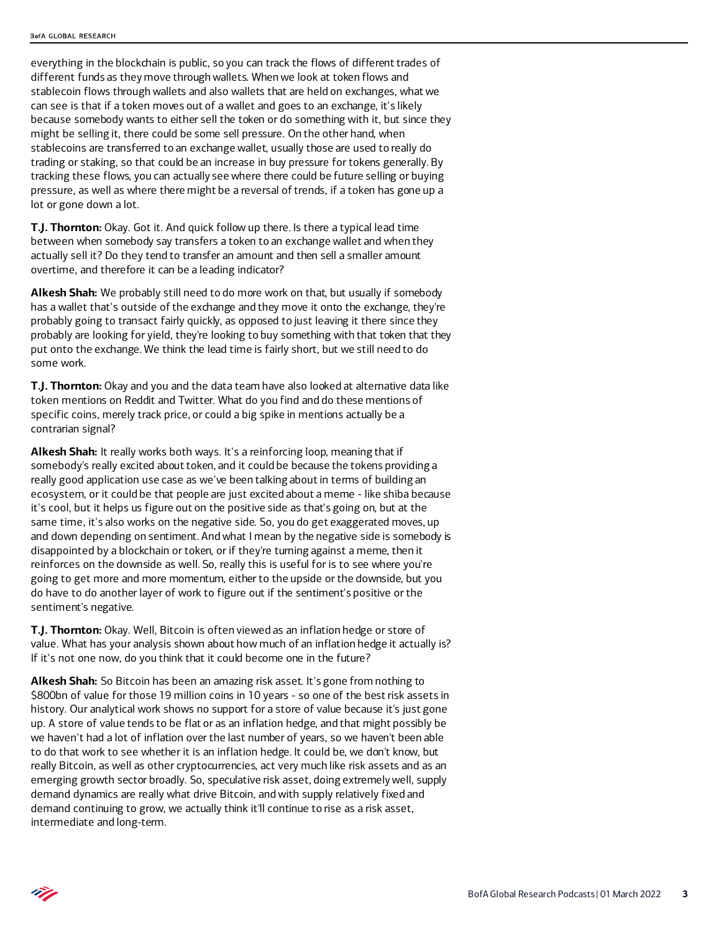everything in the blockchain is public, so you can track the flows of different trades of different funds as they move through wallets. When we look at token flows and stablecoin flows through wallets and also wallets that are held on exchanges, what we can see is that if a token moves out of a wallet and goes to an exchange, it's likely because somebody wants to either sell the token or do something with it, but since they might be selling it, there could be some sell pressure. On the other hand, when stablecoins are transferred to an exchange wallet, usually those are used to really do trading or staking, so that could be an increase in buy pressure for tokens generally. By tracking these flows, you can actually see where there could be future selling or buying pressure, as well as where there might be a reversal of trends, if a token has gone up a lot or gone down a lot.

**T.J. Thornton:** Okay. Got it. And quick follow up there. Is there a typical lead time between when somebody say transfers a token to an exchange wallet and when they actually sell it? Do they tend to transfer an amount and then sell a smaller amount overtime, and therefore it can be a leading indicator?

**Alkesh Shah:** We probably still need to do more work on that, but usually if somebody has a wallet that's outside of the exchange and they move it onto the exchange, they're probably going to transact fairly quickly, as opposed to just leaving it there since they probably are looking for yield, they're looking to buy something with that token that they put onto the exchange. We think the lead time is fairly short, but we still need to do some work.

**T.J. Thornton:** Okay and you and the data team have also looked at alternative data like token mentions on Reddit and Twitter. What do you find and do these mentions of specific coins, merely track price, or could a big spike in mentions actually be a contrarian signal?

**Alkesh Shah:** It really works both ways. It's a reinforcing loop, meaning that if somebody's really excited about token, and it could be because the tokens providing a really good application use case as we've been talking about in terms of building an ecosystem, or it could be that people are just excited about a meme - like shiba because it's cool, but it helps us figure out on the positive side as that's going on, but at the same time, it's also works on the negative side. So, you do get exaggerated moves, up and down depending on sentiment. And what I mean by the negative side is somebody is disappointed by a blockchain or token, or if they're turning against a meme, then it reinforces on the downside as well. So, really this is useful for is to see where you're going to get more and more momentum, either to the upside or the downside, but you do have to do another layer of work to figure out if the sentiment's positive or the sentiment's negative.

**T.J. Thornton:** Okay. Well, Bitcoin is often viewed as an inflation hedge or store of value. What has your analysis shown about how much of an inflation hedge it actually is? If it's not one now, do you think that it could become one in the future?

**Alkesh Shah:** So Bitcoin has been an amazing risk asset. It's gone from nothing to \$800bn of value for those 19 million coins in 10 years - so one of the best risk assets in history. Our analytical work shows no support for a store of value because it's just gone up. A store of value tends to be flat or as an inflation hedge, and that might possibly be we haven't had a lot of inflation over the last number of years, so we haven't been able to do that work to see whether it is an inflation hedge. It could be, we don't know, but really Bitcoin, as well as other cryptocurrencies, act very much like risk assets and as an emerging growth sector broadly. So, speculative risk asset, doing extremely well, supply demand dynamics are really what drive Bitcoin, and with supply relatively fixed and demand continuing to grow, we actually think it'll continue to rise as a risk asset, intermediate and long-term.

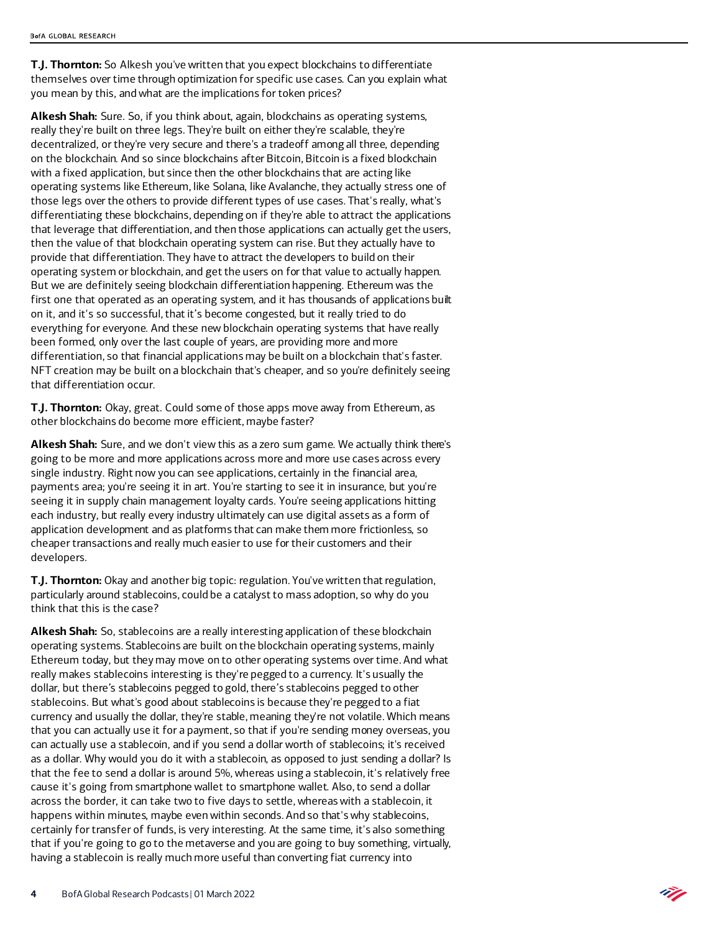**T.J. Thornton:** So Alkesh you've written that you expect blockchains to differentiate themselves over time through optimization for specific use cases. Can you explain what you mean by this, and what are the implications for token prices?

**Alkesh Shah:** Sure. So, if you think about, again, blockchains as operating systems, really they're built on three legs. They're built on either they're scalable, they're decentralized, or they're very secure and there's a tradeoff among all three, depending on the blockchain. And so since blockchains after Bitcoin, Bitcoin is a fixed blockchain with a fixed application, but since then the other blockchains that are acting like operating systems like Ethereum, like Solana, like Avalanche, they actually stress one of those legs over the others to provide different types of use cases. That's really, what's differentiating these blockchains, depending on if they're able to attract the applications that leverage that differentiation, and then those applications can actually get the users, then the value of that blockchain operating system can rise. But they actually have to provide that differentiation. They have to attract the developers to build on their operating system or blockchain, and get the users on for that value to actually happen. But we are definitely seeing blockchain differentiation happening. Ethereum was the first one that operated as an operating system, and it has thousands of applications built on it, and it's so successful, that it's become congested, but it really tried to do everything for everyone. And these new blockchain operating systems that have really been formed, only over the last couple of years, are providing more and more differentiation, so that financial applications may be built on a blockchain that's faster. NFT creation may be built on a blockchain that's cheaper, and so you're definitely seeing that differentiation occur.

**T.J. Thornton:** Okay, great. Could some of those apps move away from Ethereum, as other blockchains do become more efficient, maybe faster?

**Alkesh Shah:** Sure, and we don't view this as a zero sum game. We actually think there's going to be more and more applications across more and more use cases across every single industry. Right now you can see applications, certainly in the financial area, payments area; you're seeing it in art. You're starting to see it in insurance, but you're seeing it in supply chain management loyalty cards. You're seeing applications hitting each industry, but really every industry ultimately can use digital assets as a form of application development and as platforms that can make them more frictionless, so cheaper transactions and really much easier to use for their customers and their developers.

**T.J. Thornton:** Okay and another big topic: regulation. You've written that regulation, particularly around stablecoins, could be a catalyst to mass adoption, so why do you think that this is the case?

**Alkesh Shah:** So, stablecoins are a really interesting application of these blockchain operating systems. Stablecoins are built on the blockchain operating systems, mainly Ethereum today, but they may move on to other operating systems over time. And what really makes stablecoins interesting is they're pegged to a currency. It's usually the dollar, but there's stablecoins pegged to gold, there's stablecoins pegged to other stablecoins. But what's good about stablecoins is because they're pegged to a fiat currency and usually the dollar, they're stable, meaning they're not volatile. Which means that you can actually use it for a payment, so that if you're sending money overseas, you can actually use a stablecoin, and if you send a dollar worth of stablecoins; it's received as a dollar. Why would you do it with a stablecoin, as opposed to just sending a dollar? Is that the fee to send a dollar is around 5%, whereas using a stablecoin, it's relatively free cause it's going from smartphone wallet to smartphone wallet. Also, to send a dollar across the border, it can take two to five days to settle, whereas with a stablecoin, it happens within minutes, maybe even within seconds. And so that's why stablecoins, certainly for transfer of funds, is very interesting. At the same time, it's also something that if you're going to go to the metaverse and you are going to buy something, virtually, having a stablecoin is really much more useful than converting fiat currency into

Ù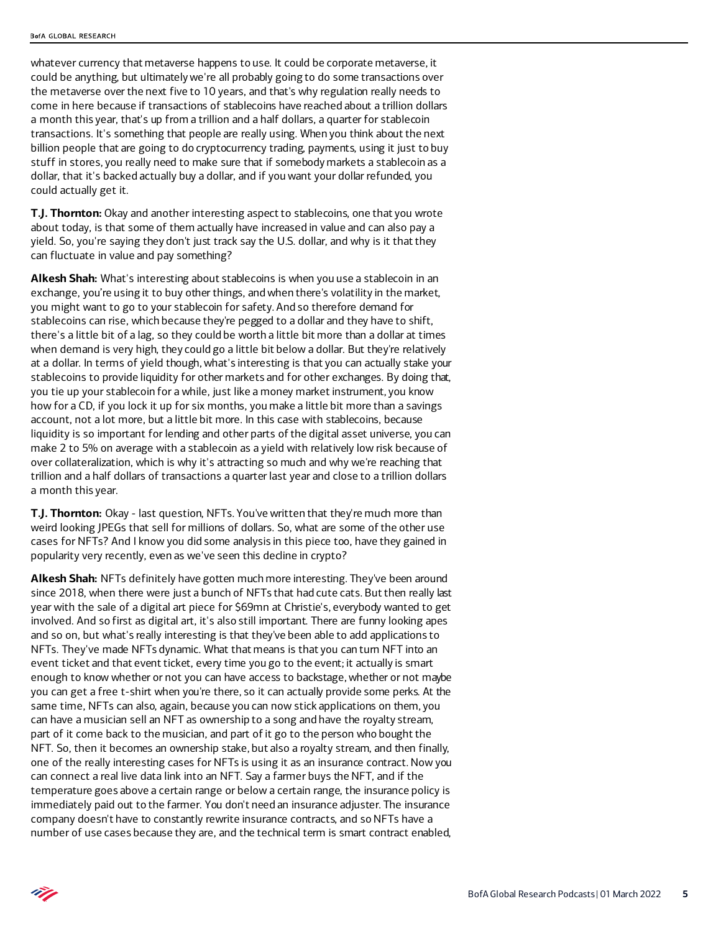whatever currency that metaverse happens to use. It could be corporate metaverse, it could be anything, but ultimately we're all probably going to do some transactions over the metaverse over the next five to 10 years, and that's why regulation really needs to come in here because if transactions of stablecoins have reached about a trillion dollars a month this year, that's up from a trillion and a half dollars, a quarter for stablecoin transactions. It's something that people are really using. When you think about the next billion people that are going to do cryptocurrency trading, payments, using it just to buy stuff in stores, you really need to make sure that if somebody markets a stablecoin as a dollar, that it's backed actually buy a dollar, and if you want your dollar refunded, you could actually get it.

**T.J. Thornton:** Okay and another interesting aspect to stablecoins, one that you wrote about today, is that some of them actually have increased in value and can also pay a yield. So, you're saying they don't just track say the U.S. dollar, and why is it that they can fluctuate in value and pay something?

**Alkesh Shah:** What's interesting about stablecoins is when you use a stablecoin in an exchange, you're using it to buy other things, and when there's volatility in the market, you might want to go to your stablecoin for safety. And so therefore demand for stablecoins can rise, which because they're pegged to a dollar and they have to shift, there's a little bit of a lag, so they could be worth a little bit more than a dollar at times when demand is very high, they could go a little bit below a dollar. But they're relatively at a dollar. In terms of yield though, what's interesting is that you can actually stake your stablecoins to provide liquidity for other markets and for other exchanges. By doing that, you tie up your stablecoin for a while, just like a money market instrument, you know how for a CD, if you lock it up for six months, you make a little bit more than a savings account, not a lot more, but a little bit more. In this case with stablecoins, because liquidity is so important for lending and other parts of the digital asset universe, you can make 2 to 5% on average with a stablecoin as a yield with relatively low risk because of over collateralization, which is why it's attracting so much and why we're reaching that trillion and a half dollars of transactions a quarter last year and close to a trillion dollars a month this year.

**T.J. Thornton:** Okay - last question, NFTs. You've written that they're much more than weird looking JPEGs that sell for millions of dollars. So, what are some of the other use cases for NFTs? And I know you did some analysis in this piece too, have they gained in popularity very recently, even as we've seen this decline in crypto?

**Alkesh Shah:** NFTs definitely have gotten much more interesting. They've been around since 2018, when there were just a bunch of NFTs that had cute cats. But then really last year with the sale of a digital art piece for \$69mn at Christie's, everybody wanted to get involved. And so first as digital art, it's also still important. There are funny looking apes and so on, but what's really interesting is that they've been able to add applications to NFTs. They've made NFTs dynamic. What that means is that you can turn NFT into an event ticket and that event ticket, every time you go to the event; it actually is smart enough to know whether or not you can have access to backstage, whether or not maybe you can get a free t-shirt when you're there, so it can actually provide some perks. At the same time, NFTs can also, again, because you can now stick applications on them, you can have a musician sell an NFT as ownership to a song and have the royalty stream, part of it come back to the musician, and part of it go to the person who bought the NFT. So, then it becomes an ownership stake, but also a royalty stream, and then finally, one of the really interesting cases for NFTs is using it as an insurance contract. Now you can connect a real live data link into an NFT. Say a farmer buys the NFT, and if the temperature goes above a certain range or below a certain range, the insurance policy is immediately paid out to the farmer. You don't need an insurance adjuster. The insurance company doesn't have to constantly rewrite insurance contracts, and so NFTs have a number of use cases because they are, and the technical term is smart contract enabled,

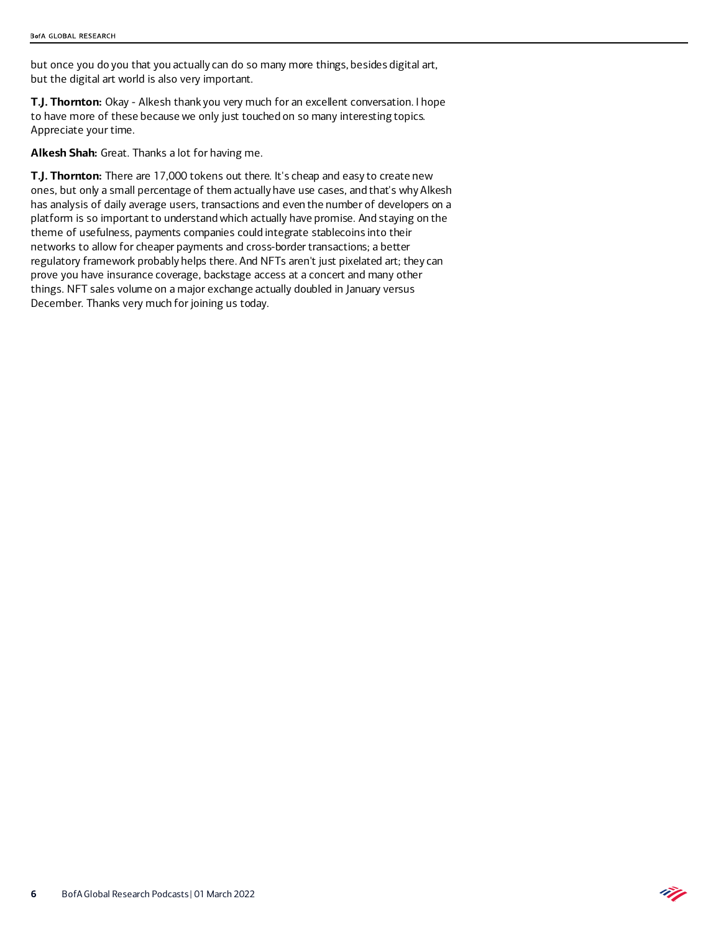but once you do you that you actually can do so many more things, besides digital art, but the digital art world is also very important.

**T.J. Thornton:** Okay - Alkesh thank you very much for an excellent conversation. I hope to have more of these because we only just touched on so many interesting topics. Appreciate your time.

**Alkesh Shah:** Great. Thanks a lot for having me.

**T.J. Thornton:** There are 17,000 tokens out there. It's cheap and easy to create new ones, but only a small percentage of them actually have use cases, and that's why Alkesh has analysis of daily average users, transactions and even the number of developers on a platform is so important to understand which actually have promise. And staying on the theme of usefulness, payments companies could integrate stablecoins into their networks to allow for cheaper payments and cross-border transactions; a better regulatory framework probably helps there. And NFTs aren't just pixelated art; they can prove you have insurance coverage, backstage access at a concert and many other things. NFT sales volume on a major exchange actually doubled in January versus December. Thanks very much for joining us today.

Ñ.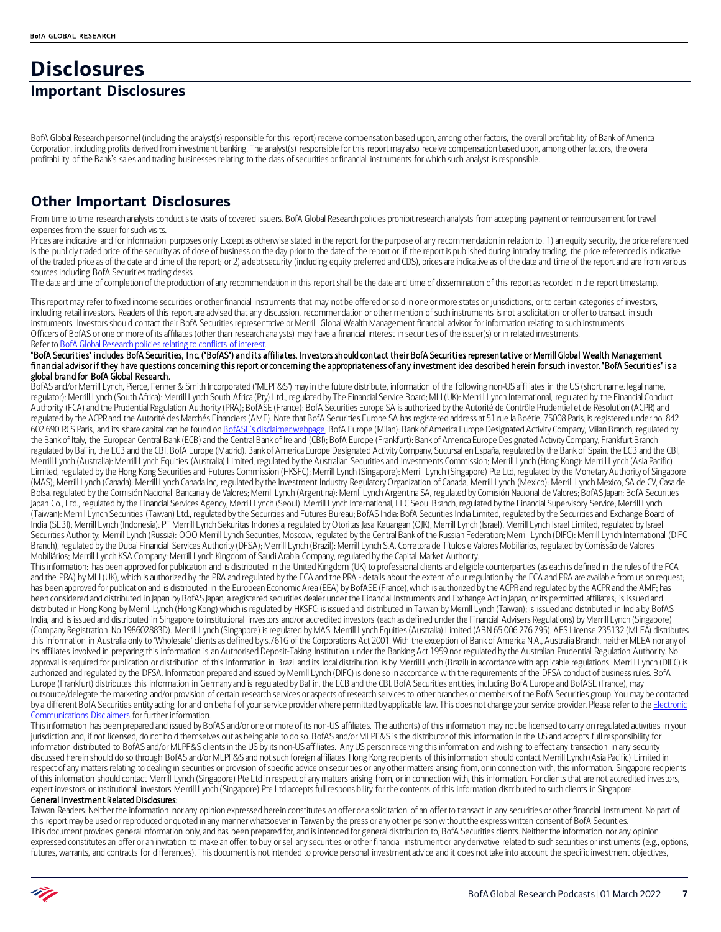# **Disclosures**

### **Important Disclosures**

BofA Global Research personnel (including the analyst(s) responsible for this report) receive compensation based upon, among other factors, the overall profitability of Bank of America Corporation, including profits derived from investment banking. The analyst(s) responsible for this report may also receive compensation based upon, among other factors, the overall profitability of the Bank's sales and trading businesses relating to the class of securities or financial instruments for which such analyst is responsible.

### **Other Important Disclosures**

From time to time research analysts conduct site visits of covered issuers. BofA Global Research policies prohibit research analysts from accepting payment or reimbursement for travel expenses from the issuer for such visits.

Prices are indicative and for information purposes only. Except as otherwise stated in the report, for the purpose of any recommendation in relation to: 1) an equity security, the price referenced is the publicly traded price of the security as of close of business on the day prior to the date of the report or, if the report is published during intraday trading, the price referenced is indicative of the traded price as of the date and time of the report; or 2) a debt security (including equity preferred and CDS), prices are indicative as of the date and time of the report and are from various sources including BofA Securities trading desks.

The date and time of completion of the production of any recommendation in this report shall be the date and time of dissemination of this report as recorded in the report timestamp.

This report may refer to fixed income securities or other financial instruments that may not be offered or sold in one or more states or jurisdictions, or to certain categories of investors, including retail investors. Readers of this report are advised that any discussion, recommendation or other mention of such instruments is not a solicitation or offer to transact in such instruments. Investors should contact their BofA Securities representative or Merrill Global Wealth Management financial advisor for information relating to such instruments. Officers of BofAS or one or more of its affiliates (other than research analysts) may have a financial interest in securities of the issuer(s) or in related investments. Refer to BofA Global Research policies relating to conflicts of interest

#### "BofA Securities" includes BofA Securities, Inc. ("BofAS") and its affiliates. Investors should contact their BofA Securities representative or Merrill Global Wealth Management financial advisor if they have questions concerning this report or concerning the appropriateness of any investment idea described herein for such investor. "BofA Securities" is a global brand for BofA Global Research.

BofAS and/or Merrill Lynch, Pierce, Fenner & Smith Incorporated ("MLPF&S") may in the future distribute, information of the following non-US affiliates in the US (short name: legal name, regulator): Merrill Lynch (South Africa): Merrill Lynch South Africa (Pty) Ltd., regulated by The Financial Service Board; MLI (UK): Merrill Lynch International, regulated by the Financial Conduct Authority (FCA) and the Prudential Regulation Authority (PRA); BofASE (France): BofA Securities Europe SA is authorized by the Autorité de Contrôle Prudentiel et de Résolution (ACPR) and regulated by the ACPR and the Autorité des Marchés Financiers (AMF). Note that BofA Securities Europe SA has registered address at 51 rue la Boétie, 75008 Paris, is registered under no. 842 602 690 RCS Paris, and its share capital can be found o[n BofASE's disclaimer webpage;](https://www.bofaml.com/en-us/content/BofASE.html) BofA Europe (Milan): Bank of America Europe Designated Activity Company, Milan Branch, regulated by the Bank of Italy, the European Central Bank (ECB) and the Central Bank of Ireland (CBI); BofA Europe (Frankfurt): Bank of America Europe Designated Activity Company, Frankfurt Branch regulated by BaFin, the ECB and the CBI; BofA Europe (Madrid): Bank of America Europe Designated Activity Company, Sucursal en España, regulated by the Bank of Spain, the ECB and the CBI; Merrill Lynch (Australia): Merrill Lynch Equities (Australia) Limited, regulated by the Australian Securities and Investments Commission; Merrill Lynch (Hong Kong): Merrill Lynch (Asia Pacific) Limited, regulated by the Hong Kong Securities and Futures Commission (HKSFC); Merrill Lynch (Singapore): Merrill Lynch (Singapore) Pte Ltd, regulated by the Monetary Authority of Singapore (MAS); Merrill Lynch (Canada): Merrill Lynch Canada Inc, regulated by the Investment Industry Regulatory Organization of Canada; Merrill Lynch (Mexico): Merrill Lynch Mexico, SA de CV, Casa de Bolsa, regulated by the Comisión Nacional Bancaria y de Valores; Merrill Lynch (Argentina): Merrill Lynch Argentina SA, regulated by Comisión Nacional de Valores; BofAS Japan: BofA Securities Japan Co., Ltd., regulated by the Financial Services Agency; Merrill Lynch (Seoul): Merrill Lynch International, LLC Seoul Branch, regulated by the Financial Supervisory Service; Merrill Lynch (Taiwan): Merrill Lynch Securities (Taiwan) Ltd., regulated by the Securities and Futures Bureau; BofAS India: BofA Securities India Limited, regulated by the Securities and Exchange Board of India (SEBI); Merrill Lynch (Indonesia): PT Merrill Lynch Sekuritas Indonesia, regulated by Otoritas Jasa Keuangan (OJK); Merrill Lynch (Israel): Merrill Lynch Israel Limited, regulated by Israel Securities Authority; Merrill Lynch (Russia): OOO Merrill Lynch Securities, Moscow, regulated by the Central Bank of the Russian Federation; Merrill Lynch (DIFC): Merrill Lynch International (DIFC) Branch), regulated by the Dubai Financial Services Authority (DFSA); Merrill Lynch (Brazil): Merrill Lynch S.A. Corretora de Títulos e Valores Mobiliários, regulated by Comissão de Valores Mobiliários; Merrill Lynch KSA Company: Merrill Lynch Kingdom of Saudi Arabia Company, regulated by the Capital Market Authority.

This information: has been approved for publication and is distributed in the United Kingdom (UK) to professional clients and eligible counterparties (as each is defined in the rules of the FCA and the PRA) by MLI (UK), which is authorized by the PRA and regulated by the FCA and the PRA - details about the extent of our regulation by the FCA and PRA are available from us on request; has been approved for publication and is distributed in the European Economic Area (EEA) by BofASE (France), which is authorized by the ACPR and regulated by the ACPR and the AMF; has been considered and distributed in Japan by BofAS Japan, a registered securities dealer under the Financial Instruments and Exchange Act in Japan, or its permitted affiliates; is issued and distributed in Hong Kong by Merrill Lynch (Hong Kong) which is regulated by HKSFC; is issued and distributed in Taiwan by Merrill Lynch (Taiwan); is issued and distributed in India by BofAS India; and is issued and distributed in Singapore to institutional investors and/or accredited investors (each as defined under the Financial Advisers Regulations) by Merrill Lynch (Singapore) (Company Registration No 198602883D). Merrill Lynch (Singapore) is regulated by MAS. Merrill Lynch Equities (Australia) Limited (ABN 65 006 276 795), AFS License 235132 (MLEA) distributes this information in Australia only to 'Wholesale' clients as defined by s.761G of the Corporations Act 2001. With the exception of Bank of America N.A., Australia Branch, neither MLEA nor any of its affiliates involved in preparing this information is an Authorised Deposit-Taking Institution under the Banking Act 1959 nor regulated by the Australian Prudential Regulation Authority. No approval is required for publication or distribution of this information in Brazil and its local distribution is by Merrill Lynch (Brazil) in accordance with applicable regulations. Merrill Lynch (DIFC) is authorized and regulated by the DFSA. Information prepared and issued by Merrill Lynch (DIFC) is done so in accordance with the requirements of the DFSA conduct of business rules. BofA Europe (Frankfurt) distributes this information in Germany and is regulated by BaFin, the ECB and the CBI. BofA Securities entities, including BofA Europe and BofASE (France), may outsource/delegate the marketing and/or provision of certain research services or aspects of research services to other branches or members of the BofA Securities group. You may be contacted by a different BofA Securities entity acting for and on behalf of your service provider where permitted by applicable law. This does not change your service provider. Please refer to the *Electronic* [Communications Disclaimers](http://www.bankofamerica.com/emaildisclaimer) for further information.

This information has been prepared and issued by BofAS and/or one or more of its non-US affiliates. The author(s) of this information may not be licensed to carry on regulated activities in your jurisdiction and, if not licensed, do not hold themselves out as being able to do so. BofAS and/or MLPF&S is the distributor of this information in the US and accepts full responsibility for information distributed to BofAS and/or MLPF&S clients in the US by its non-US affiliates. Any US person receiving this information and wishing to effect any transaction in any security discussed herein should do so through BofAS and/or MLPF&S and not such foreign affiliates. Hong Kong recipients of this information should contact Merrill Lynch (Asia Pacific) Limited in respect of any matters relating to dealing in securities or provision of specific advice on securities or any other matters arising from, or in connection with, this information. Singapore recipients of this information should contact Merrill Lynch (Singapore) Pte Ltd in respect of any matters arising from, or in connection with, this information. For clients that are not accredited investors, expert investors or institutional investors Merrill Lynch (Singapore) Pte Ltd accepts full responsibility for the contents of this information distributed to such clients in Singapore.

### General Investment Related Disclosures:

Taiwan Readers: Neither the information nor any opinion expressed herein constitutes an offer or a solicitation of an offer to transact in any securities or other financial instrument. No part of this report may be used or reproduced or quoted in any manner whatsoever in Taiwan by the press or any other person without the express written consent of BofA Securities. This document provides general information only, and has been prepared for, and is intended for general distribution to, BofA Securities clients. Neither the information nor any opinion expressed constitutes an offer or an invitation to make an offer, to buy or sell any securities or other financial instrument or any derivative related to such securities or instruments (e.g., options, futures, warrants, and contracts for differences). This document is not intended to provide personal investment advice and it does not take into account the specific investment objectives,